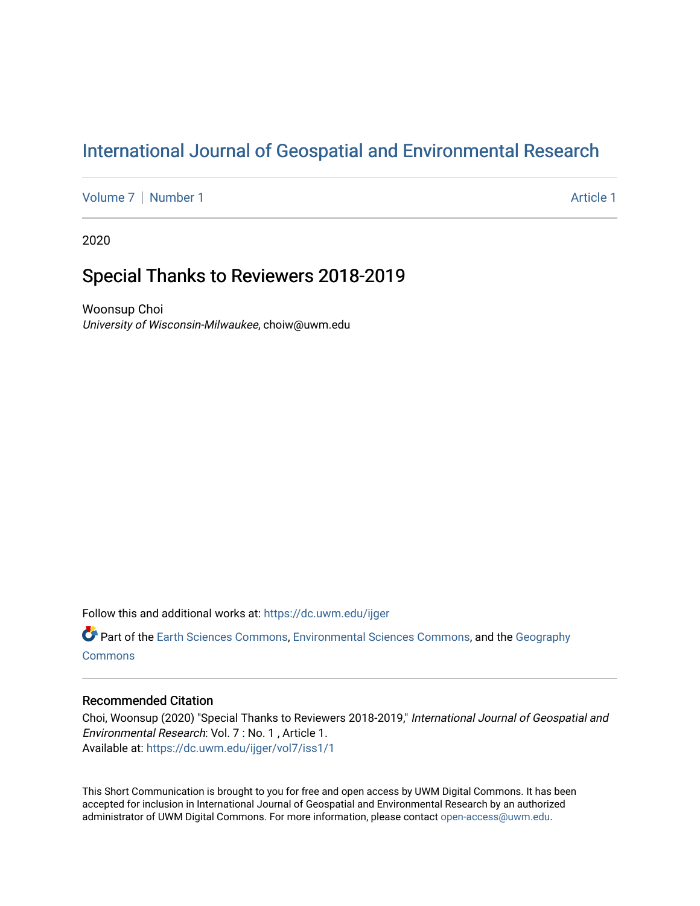# [International Journal of Geospatial and Environmental Research](https://dc.uwm.edu/ijger)

[Volume 7](https://dc.uwm.edu/ijger/vol7) | [Number 1](https://dc.uwm.edu/ijger/vol7/iss1) Article 1

2020

## Special Thanks to Reviewers 2018-2019

Woonsup Choi University of Wisconsin-Milwaukee, choiw@uwm.edu

Follow this and additional works at: [https://dc.uwm.edu/ijger](https://dc.uwm.edu/ijger?utm_source=dc.uwm.edu%2Fijger%2Fvol7%2Fiss1%2F1&utm_medium=PDF&utm_campaign=PDFCoverPages) 

Part of the [Earth Sciences Commons,](http://network.bepress.com/hgg/discipline/153?utm_source=dc.uwm.edu%2Fijger%2Fvol7%2Fiss1%2F1&utm_medium=PDF&utm_campaign=PDFCoverPages) [Environmental Sciences Commons](http://network.bepress.com/hgg/discipline/167?utm_source=dc.uwm.edu%2Fijger%2Fvol7%2Fiss1%2F1&utm_medium=PDF&utm_campaign=PDFCoverPages), and the [Geography](http://network.bepress.com/hgg/discipline/354?utm_source=dc.uwm.edu%2Fijger%2Fvol7%2Fiss1%2F1&utm_medium=PDF&utm_campaign=PDFCoverPages) **[Commons](http://network.bepress.com/hgg/discipline/354?utm_source=dc.uwm.edu%2Fijger%2Fvol7%2Fiss1%2F1&utm_medium=PDF&utm_campaign=PDFCoverPages)** 

#### Recommended Citation

Choi, Woonsup (2020) "Special Thanks to Reviewers 2018-2019," International Journal of Geospatial and Environmental Research: Vol. 7 : No. 1 , Article 1. Available at: [https://dc.uwm.edu/ijger/vol7/iss1/1](https://dc.uwm.edu/ijger/vol7/iss1/1?utm_source=dc.uwm.edu%2Fijger%2Fvol7%2Fiss1%2F1&utm_medium=PDF&utm_campaign=PDFCoverPages) 

This Short Communication is brought to you for free and open access by UWM Digital Commons. It has been accepted for inclusion in International Journal of Geospatial and Environmental Research by an authorized administrator of UWM Digital Commons. For more information, please contact [open-access@uwm.edu](mailto:open-access@uwm.edu).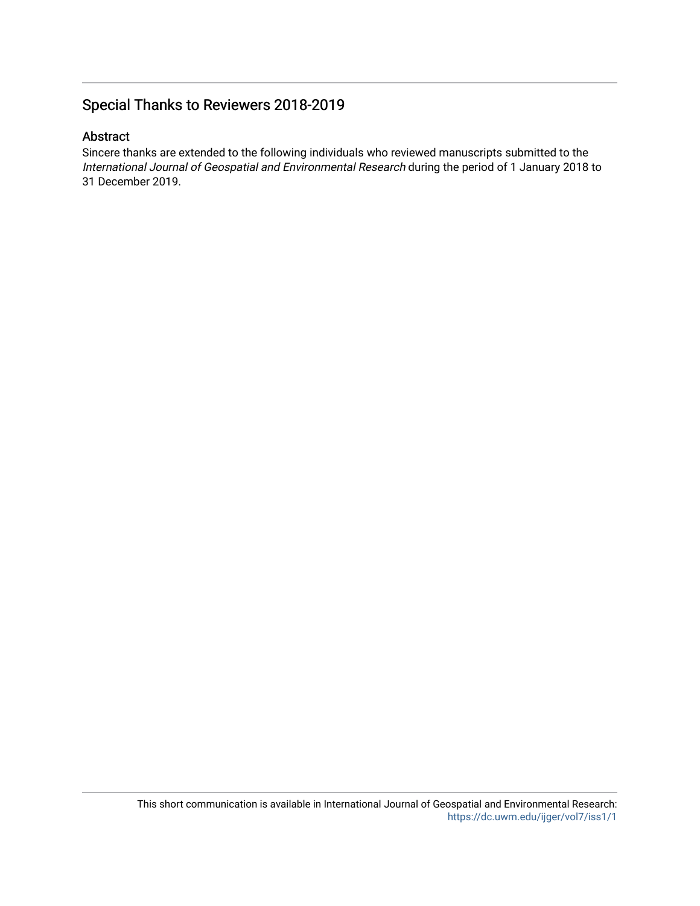### Special Thanks to Reviewers 2018-2019

#### Abstract

Sincere thanks are extended to the following individuals who reviewed manuscripts submitted to the International Journal of Geospatial and Environmental Research during the period of 1 January 2018 to 31 December 2019.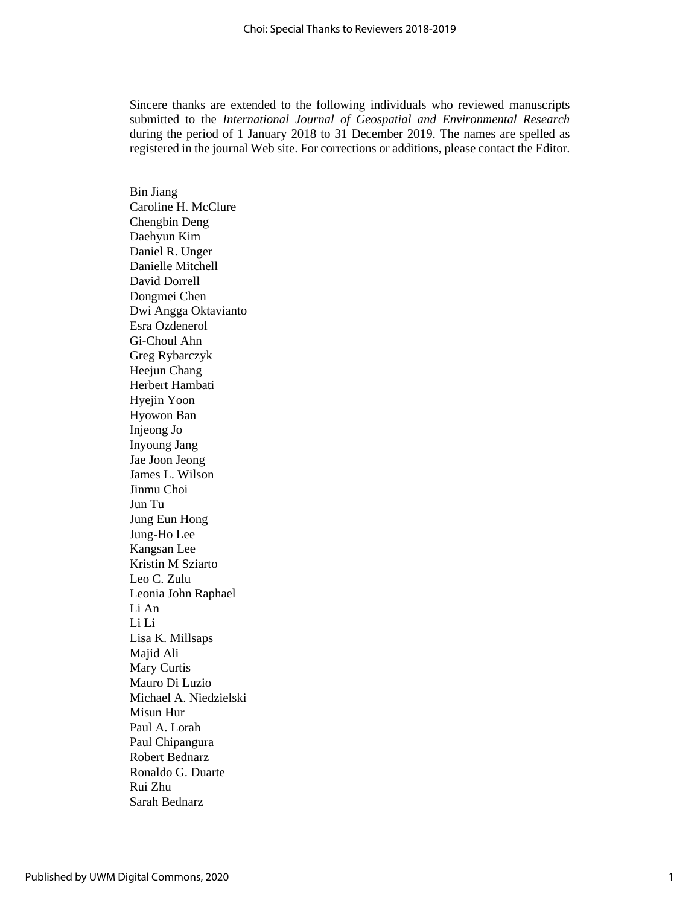Sincere thanks are extended to the following individuals who reviewed manuscripts submitted to the *International Journal of Geospatial and Environmental Research* during the period of 1 January 2018 to 31 December 2019. The names are spelled as registered in the journal Web site. For corrections or additions, please contact the Editor.

Bin Jiang Caroline H. McClure Chengbin Deng Daehyun Kim Daniel R. Unger Danielle Mitchell David Dorrell Dongmei Chen Dwi Angga Oktavianto Esra Ozdenerol Gi-Choul Ahn Greg Rybarczyk Heejun Chang Herbert Hambati Hyejin Yoon Hyowon Ban Injeong Jo Inyoung Jang Jae Joon Jeong James L. Wilson Jinmu Choi Jun Tu Jung Eun Hong Jung-Ho Lee Kangsan Lee Kristin M Sziarto Leo C. Zulu Leonia John Raphael Li An Li Li Lisa K. Millsaps Majid Ali Mary Curtis Mauro Di Luzio Michael A. Niedzielski Misun Hur Paul A. Lorah Paul Chipangura Robert Bednarz Ronaldo G. Duarte Rui Zhu Sarah Bednarz